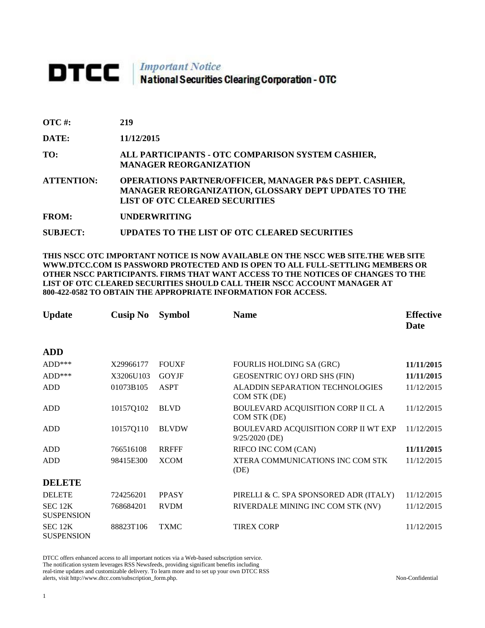## DTCC | Important Notice<br>National Securities Clearing Corporation - OTC

| <b>OTC#:</b> | 219 |
|--------------|-----|
|              |     |

**DATE: 11/12/2015**

**TO: ALL PARTICIPANTS - OTC COMPARISON SYSTEM CASHIER, MANAGER REORGANIZATION** 

**ATTENTION: OPERATIONS PARTNER/OFFICER, MANAGER P&S DEPT. CASHIER, MANAGER REORGANIZATION, GLOSSARY DEPT UPDATES TO THE LIST OF OTC CLEARED SECURITIES** 

**FROM: UNDERWRITING**

**SUBJECT: UPDATES TO THE LIST OF OTC CLEARED SECURITIES**

**THIS NSCC OTC IMPORTANT NOTICE IS NOW AVAILABLE ON THE NSCC WEB SITE.THE WEB SITE WWW.DTCC.COM IS PASSWORD PROTECTED AND IS OPEN TO ALL FULL-SETTLING MEMBERS OR OTHER NSCC PARTICIPANTS. FIRMS THAT WANT ACCESS TO THE NOTICES OF CHANGES TO THE LIST OF OTC CLEARED SECURITIES SHOULD CALL THEIR NSCC ACCOUNT MANAGER AT 800-422-0582 TO OBTAIN THE APPROPRIATE INFORMATION FOR ACCESS.** 

| <b>Update</b>                | <b>Cusip No</b> | <b>Symbol</b> | <b>Name</b>                                            | <b>Effective</b><br>Date |
|------------------------------|-----------------|---------------|--------------------------------------------------------|--------------------------|
| <b>ADD</b>                   |                 |               |                                                        |                          |
| $ADD***$                     | X29966177       | <b>FOUXF</b>  | <b>FOURLIS HOLDING SA (GRC)</b>                        | 11/11/2015               |
| $ADD***$                     | X3206U103       | <b>GOYJF</b>  | GEOSENTRIC OYJ ORD SHS (FIN)                           | 11/11/2015               |
| <b>ADD</b>                   | 01073B105       | <b>ASPT</b>   | <b>ALADDIN SEPARATION TECHNOLOGIES</b><br>COM STK (DE) | 11/12/2015               |
| <b>ADD</b>                   | 10157Q102       | <b>BLVD</b>   | BOULEVARD ACQUISITION CORP II CL A<br>COM STK (DE)     | 11/12/2015               |
| <b>ADD</b>                   | 10157Q110       | <b>BLVDW</b>  | BOULEVARD ACQUISITION CORP II WT EXP<br>9/25/2020 (DE) | 11/12/2015               |
| <b>ADD</b>                   | 766516108       | <b>RRFFF</b>  | RIFCO INC COM (CAN)                                    | 11/11/2015               |
| <b>ADD</b>                   | 98415E300       | <b>XCOM</b>   | XTERA COMMUNICATIONS INC COM STK<br>(DE)               | 11/12/2015               |
| <b>DELETE</b>                |                 |               |                                                        |                          |
| <b>DELETE</b>                | 724256201       | <b>PPASY</b>  | PIRELLI & C. SPA SPONSORED ADR (ITALY)                 | 11/12/2015               |
| SEC 12K<br><b>SUSPENSION</b> | 768684201       | <b>RVDM</b>   | RIVERDALE MINING INC COM STK (NV)                      | 11/12/2015               |
| SEC 12K<br><b>SUSPENSION</b> | 88823T106       | <b>TXMC</b>   | <b>TIREX CORP</b>                                      | 11/12/2015               |

DTCC offers enhanced access to all important notices via a Web-based subscription service. The notification system leverages RSS Newsfeeds, providing significant benefits including real-time updates and customizable delivery. To learn more and to set up your own DTCC RSS alerts, visit http://www.dtcc.com/subscription\_form.php. Non-Confidential